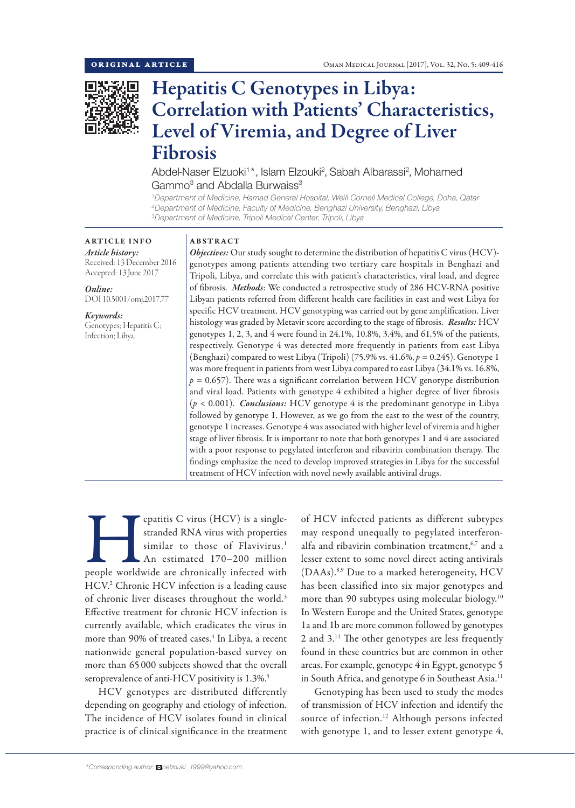

# Hepatitis C Genotypes in Libya: Correlation with Patients' Characteristics, Level of Viremia, and Degree of Liver Fibrosis

Abdel-Naser Elzuoki<sup>1\*</sup>, Islam Elzouki<sup>2</sup>, Sabah Albarassi<sup>2</sup>, Mohamed Gammo<sup>3</sup> and Abdalla Burwaiss<sup>3</sup>

*1 Department of Medicine, Hamad General Hospital, Weill Cornell Medical College, Doha, Qatar 2 Department of Medicine, Faculty of Medicine, Benghazi University, Benghazi, Libya 3 Department of Medicine, Tripoli Medical Center, Tripoli, Libya*

ARTICLE INFO *Article history:* Received: 13 December 2016 Accepted: 13 June 2017

*Online:* DOI 10.5001/omj.2017.77

*Keywords:*  Genotypes; Hepatitis C; Infection; Libya.

## ABSTRACT

*Objectives:* Our study sought to determine the distribution of hepatitis C virus (HCV)genotypes among patients attending two tertiary care hospitals in Benghazi and Tripoli, Libya, and correlate this with patient's characteristics, viral load, and degree of fibrosis. *Methods*: We conducted a retrospective study of 286 HCV-RNA positive Libyan patients referred from different health care facilities in east and west Libya for specific HCV treatment. HCV genotyping was carried out by gene amplification. Liver histology was graded by Metavir score according to the stage of fibrosis. *Results:* HCV genotypes 1, 2, 3, and 4 were found in 24.1%, 10.8%, 3.4%, and 61.5% of the patients, respectively. Genotype 4 was detected more frequently in patients from east Libya (Benghazi) compared to west Libya (Tripoli) (75.9% vs. 41.6%, *p =* 0.245). Genotype 1 was more frequent in patients from west Libya compared to east Libya (34.1% vs. 16.8%,  $p = 0.657$ ). There was a significant correlation between HCV genotype distribution and viral load. Patients with genotype 4 exhibited a higher degree of liver fibrosis (*p* < 0.001). *Conclusions:* HCV genotype 4 is the predominant genotype in Libya followed by genotype 1. However, as we go from the east to the west of the country, genotype 1 increases. Genotype 4 was associated with higher level of viremia and higher stage of liver fibrosis. It is important to note that both genotypes 1 and 4 are associated with a poor response to pegylated interferon and ribavirin combination therapy. The findings emphasize the need to develop improved strategies in Libya for the successful treatment of HCV infection with novel newly available antiviral drugs.

epatitis C virus (HCV) is a single-<br>stranded RNA virus with properties<br>similar to those of Flavivirus.<sup>1</sup><br>An estimated 170–200 million<br>people worldwide are chronically infected with stranded RNA virus with properties similar to those of Flavivirus.<sup>1</sup> An estimated 170–200 million HCV.<sup>2</sup> Chronic HCV infection is a leading cause of chronic liver diseases throughout the world.3 Effective treatment for chronic HCV infection is currently available, which eradicates the virus in more than 90% of treated cases.<sup>4</sup> In Libya, a recent nationwide general population-based survey on more than 65 000 subjects showed that the overall seroprevalence of anti-HCV positivity is 1.3%.<sup>5</sup>

HCV genotypes are distributed differently depending on geography and etiology of infection. The incidence of HCV isolates found in clinical practice is of clinical significance in the treatment

of HCV infected patients as different subtypes may respond unequally to pegylated interferonalfa and ribavirin combination treatment,<sup>6,7</sup> and a lesser extent to some novel direct acting antivirals (DAAs).8,9 Due to a marked heterogeneity, HCV has been classified into six major genotypes and more than 90 subtypes using molecular biology.10 In Western Europe and the United States, genotype 1a and 1b are more common followed by genotypes 2 and 3.11 The other genotypes are less frequently found in these countries but are common in other areas. For example, genotype 4 in Egypt, genotype 5 in South Africa, and genotype 6 in Southeast Asia.<sup>11</sup>

Genotyping has been used to study the modes of transmission of HCV infection and identify the source of infection.<sup>12</sup> Although persons infected with genotype 1, and to lesser extent genotype 4,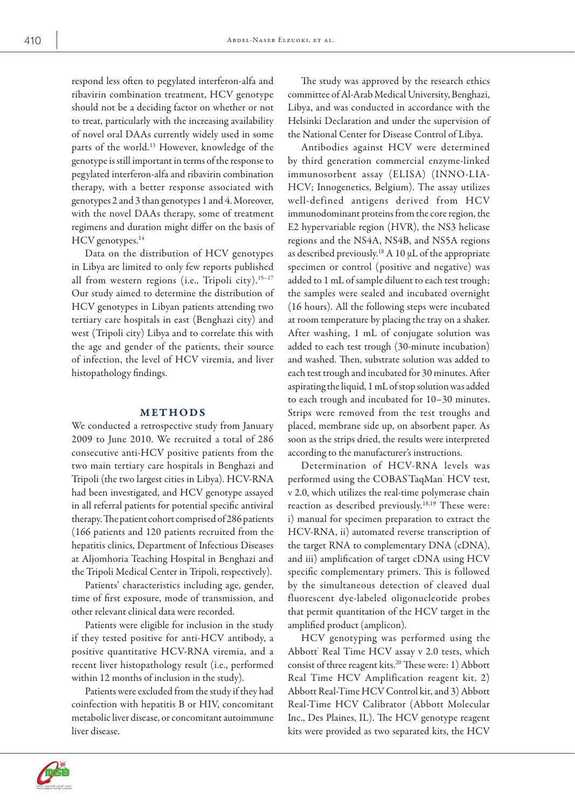respond less often to pegylated interferon-alfa and ribavirin combination treatment, HCV genotype should not be a deciding factor on whether or not to treat, particularly with the increasing availability of novel oral DAAs currently widely used in some parts of the world.13 However, knowledge of the genotype is still important in terms of the response to pegylated interferon-alfa and ribavirin combination therapy, with a better response associated with genotypes 2 and 3 than genotypes 1 and 4. Moreover, with the novel DAAs therapy, some of treatment regimens and duration might differ on the basis of HCV genotypes.<sup>14</sup>

Data on the distribution of HCV genotypes in Libya are limited to only few reports published all from western regions (i.e., Tripoli city).<sup>15-17</sup> Our study aimed to determine the distribution of HCV genotypes in Libyan patients attending two tertiary care hospitals in east (Benghazi city) and west (Tripoli city) Libya and to correlate this with the age and gender of the patients, their source of infection, the level of HCV viremia, and liver histopathology findings.

#### METHODS

We conducted a retrospective study from January 2009 to June 2010. We recruited a total of 286 consecutive anti-HCV positive patients from the two main tertiary care hospitals in Benghazi and Tripoli (the two largest cities in Libya). HCV-RNA had been investigated, and HCV genotype assayed in all referral patients for potential specific antiviral therapy. The patient cohort comprised of 286 patients (166 patients and 120 patients recruited from the hepatitis clinics, Department of Infectious Diseases at Aljomhoria Teaching Hospital in Benghazi and the Tripoli Medical Center in Tripoli, respectively).

Patients' characteristics including age, gender, time of first exposure, mode of transmission, and other relevant clinical data were recorded.

Patients were eligible for inclusion in the study if they tested positive for anti-HCV antibody, a positive quantitative HCV-RNA viremia, and a recent liver histopathology result (i.e., performed within 12 months of inclusion in the study).

Patients were excluded from the study if they had coinfection with hepatitis B or HIV, concomitant metabolic liver disease, or concomitant autoimmune liver disease.

The study was approved by the research ethics committee of Al-Arab Medical University, Benghazi, Libya, and was conducted in accordance with the Helsinki Declaration and under the supervision of the National Center for Disease Control of Libya.

Antibodies against HCV were determined by third generation commercial enzyme-linked immunosorbent assay (ELISA) (INNO-LIA-HCV; Innogenetics, Belgium). The assay utilizes well-defined antigens derived from HCV immunodominant proteins from the core region, the E2 hypervariable region (HVR), the NS3 helicase regions and the NS4A, NS4B, and NS5A regions as described previously.<sup>18</sup> A 10  $\mu$ L of the appropriate specimen or control (positive and negative) was added to 1 mL of sample diluent to each test trough; the samples were sealed and incubated overnight (16 hours). All the following steps were incubated at room temperature by placing the tray on a shaker. After washing, 1 mL of conjugate solution was added to each test trough (30-minute incubation) and washed. Then, substrate solution was added to each test trough and incubated for 30 minutes. After aspirating the liquid, 1 mL of stop solution was added to each trough and incubated for 10–30 minutes. Strips were removed from the test troughs and placed, membrane side up, on absorbent paper. As soon as the strips dried, the results were interpreted according to the manufacturer's instructions.

Determination of HCV-RNA levels was performed using the COBAS'TaqMan' HCV test, v 2.0, which utilizes the real-time polymerase chain reaction as described previously.18,19 These were: i) manual for specimen preparation to extract the HCV-RNA, ii) automated reverse transcription of the target RNA to complementary DNA (cDNA), and iii) amplification of target cDNA using HCV specific complementary primers. This is followed by the simultaneous detection of cleaved dual fluorescent dye-labeled oligonucleotide probes that permit quantitation of the HCV target in the amplified product (amplicon).

HCV genotyping was performed using the Abbott' Real Time HCV assay v 2.0 tests, which consist of three reagent kits.20 These were: 1) Abbott Real Time HCV Amplification reagent kit, 2) Abbott Real-Time HCV Control kit, and 3) Abbott Real-Time HCV Calibrator (Abbott Molecular Inc., Des Plaines, IL). The HCV genotype reagent kits were provided as two separated kits, the HCV

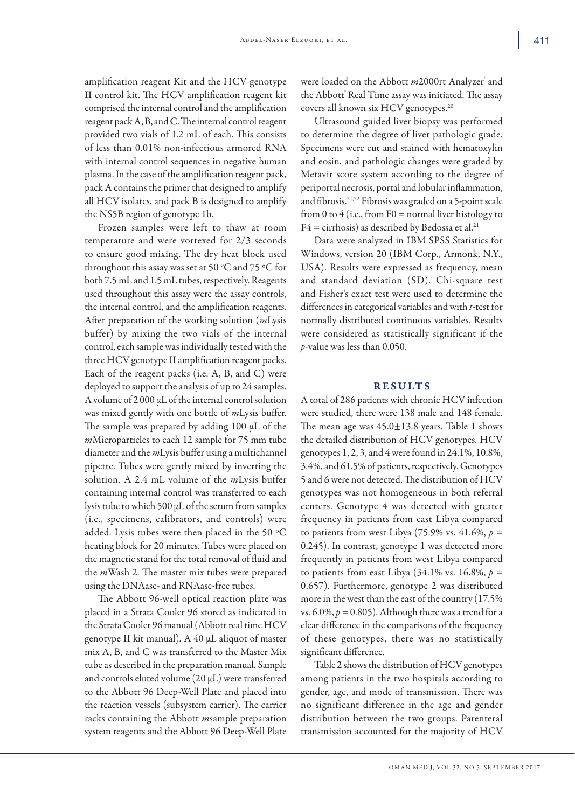amplification reagent Kit and the HCV genotype II control kit. The HCV amplification reagent kit comprised the internal control and the amplification reagent pack A, B, and C. The internal control reagent provided two vials of 1.2 mL of each. This consists of less than 0.01% non-infectious armored RNA with internal control sequences in negative human plasma. In the case of the amplification reagent pack, pack A contains the primer that designed to amplify all HCV isolates, and pack B is designed to amplify the NS5B region of genotype 1b.

Frozen samples were left to thaw at room temperature and were vortexed for 2/3 seconds to ensure good mixing. The dry heat block used throughout this assay was set at 50  $^{\circ}$ C and 75  $^{\circ}$ C for both 7.5 mL and 1.5 mL tubes, respectively. Reagents used throughout this assay were the assay controls, the internal control, and the amplification reagents. After preparation of the working solution (*m*Lysis buffer) by mixing the two vials of the internal control, each sample was individually tested with the three HCV genotype II amplification reagent packs. Each of the reagent packs (i.e. A, B, and C) were deployed to support the analysis of up to 24 samples. A volume of  $2000 \mu L$  of the internal control solution was mixed gently with one bottle of *m*Lysis buffer. The sample was prepared by adding 100 µL of the *m*Microparticles to each 12 sample for 75 mm tube diameter and the *m*Lysis buffer using a multichannel pipette. Tubes were gently mixed by inverting the solution. A 2.4 mL volume of the *m*Lysis buffer containing internal control was transferred to each lysis tube to which 500 µL of the serum from samples (i.e., specimens, calibrators, and controls) were added. Lysis tubes were then placed in the 50 ºC heating block for 20 minutes. Tubes were placed on the magnetic stand for the total removal of fluid and the *m*Wash 2. The master mix tubes were prepared using the DNAase- and RNAase-free tubes.

The Abbott 96-well optical reaction plate was placed in a Strata Cooler 96 stored as indicated in the Strata Cooler 96 manual (Abbott real time HCV genotype II kit manual). A 40 µL aliquot of master mix A, B, and C was transferred to the Master Mix tube as described in the preparation manual. Sample and controls eluted volume  $(20 \mu L)$  were transferred to the Abbott 96 Deep-Well Plate and placed into the reaction vessels (subsystem carrier). The carrier racks containing the Abbott *m*sample preparation system reagents and the Abbott 96 Deep-Well Plate

were loaded on the Abbott *m*2000rt Analyzer<sup>\*</sup> and the Abbott<sup>'</sup> Real Time assay was initiated. The assay covers all known six HCV genotypes.<sup>20</sup>

Ultrasound guided liver biopsy was performed to determine the degree of liver pathologic grade. Specimens were cut and stained with hematoxylin and eosin, and pathologic changes were graded by Metavir score system according to the degree of periportal necrosis, portal and lobular inflammation, and fibrosis.21,22 Fibrosis was graded on a 5-point scale from 0 to 4 (i.e., from  $F0 =$  normal liver histology to  $F4 = \text{cirrhosis}$ ) as described by Bedossa et al.<sup>21</sup>

Data were analyzed in IBM SPSS Statistics for Windows, version 20 (IBM Corp., Armonk, N.Y., USA). Results were expressed as frequency, mean and standard deviation (SD). Chi-square test and Fisher's exact test were used to determine the differences in categorical variables and with *t*-test for normally distributed continuous variables. Results were considered as statistically significant if the *p*-value was less than 0.050.

### RESULTS

A total of 286 patients with chronic HCV infection were studied, there were 138 male and 148 female. The mean age was  $45.0 \pm 13.8$  years. Table 1 shows the detailed distribution of HCV genotypes. HCV genotypes 1, 2, 3, and 4 were found in 24.1%, 10.8%, 3.4%, and 61.5% of patients, respectively. Genotypes 5 and 6 were not detected. The distribution of HCV genotypes was not homogeneous in both referral centers. Genotype 4 was detected with greater frequency in patients from east Libya compared to patients from west Libya  $(75.9\% \text{ vs. } 41.6\%, p =$ 0.245). In contrast, genotype 1 was detected more frequently in patients from west Libya compared to patients from east Libya  $(34.1\% \text{ vs. } 16.8\%, p =$ 0.657). Furthermore, genotype 2 was distributed more in the west than the east of the country (17.5% vs.  $6.0\%, p = 0.805$ ). Although there was a trend for a clear difference in the comparisons of the frequency of these genotypes, there was no statistically significant difference.

Table 2 shows the distribution of HCV genotypes among patients in the two hospitals according to gender, age, and mode of transmission. There was no significant difference in the age and gender distribution between the two groups. Parenteral transmission accounted for the majority of HCV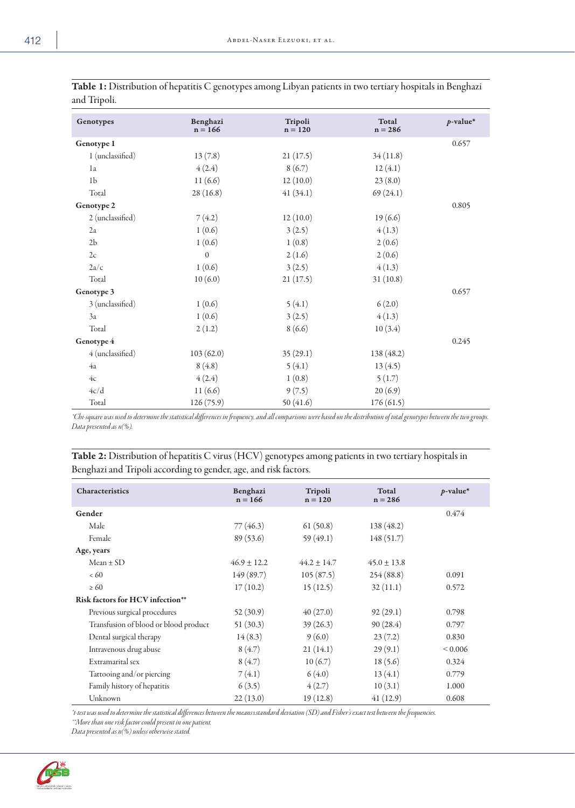| Genotypes        | Benghazi<br>$n = 166$ | Tripoli<br>$n = 120$ | Total<br>$n = 286$ | $p$ -value* |
|------------------|-----------------------|----------------------|--------------------|-------------|
| Genotype 1       |                       |                      |                    | 0.657       |
| 1 (unclassified) | 13(7.8)               | 21(17.5)             | 34(11.8)           |             |
| 1a               | 4(2.4)                | 8(6.7)               | 12(4.1)            |             |
| 1 <sub>b</sub>   | 11(6.6)               | 12(10.0)             | 23(8.0)            |             |
| Total            | 28(16.8)              | 41(34.1)             | 69(24.1)           |             |
| Genotype 2       |                       |                      |                    | 0.805       |
| 2 (unclassified) | 7(4.2)                | 12(10.0)             | 19(6.6)            |             |
| 2a               | 1(0.6)                | 3(2.5)               | 4(1.3)             |             |
| $2\mathrm{b}$    | 1(0.6)                | 1(0.8)               | 2(0.6)             |             |
| 2c               | $\mathbf{0}$          | 2(1.6)               | 2(0.6)             |             |
| $2a/c$           | 1(0.6)                | 3(2.5)               | 4(1.3)             |             |
| Total            | 10(6.0)               | 21(17.5)             | 31(10.8)           |             |
| Genotype 3       |                       |                      |                    | 0.657       |
| 3 (unclassified) | 1(0.6)                | 5(4.1)               | 6(2.0)             |             |
| 3a               | 1(0.6)                | 3(2.5)               | 4(1.3)             |             |
| Total            | 2(1.2)                | 8(6.6)               | 10(3.4)            |             |
| Genotype 4       |                       |                      |                    | 0.245       |
| 4 (unclassified) | 103(62.0)             | 35(29.1)             | 138 (48.2)         |             |
| 4a               | 8(4.8)                | 5(4.1)               | 13(4.5)            |             |
| 4c               | 4(2.4)                | 1(0.8)               | 5(1.7)             |             |
| 4c/d             | 11(6.6)               | 9(7.5)               | 20(6.9)            |             |
| Total            | 126 (75.9)            | 50 $(41.6)$          | 176(61.5)          |             |

| Table 1: Distribution of hepatitis C genotypes among Libyan patients in two tertiary hospitals in Benghazi |  |
|------------------------------------------------------------------------------------------------------------|--|
| and Tripoli.                                                                                               |  |

*\*Chi-square was used to determine the statistical differences in frequency, and all comparisons were based on the distribution of total genotypes between the two groups. Data presented as n(%).*

Table 2: Distribution of hepatitis C virus (HCV) genotypes among patients in two tertiary hospitals in Benghazi and Tripoli according to gender, age, and risk factors.

| Characteristics                       | Benghazi<br>$n = 166$ | Tripoli<br>$n = 120$ | Total<br>$n = 286$ | $p$ -value*  |
|---------------------------------------|-----------------------|----------------------|--------------------|--------------|
| Gender                                |                       |                      |                    | 0.474        |
| Male                                  | 77(46.3)              | 61(50.8)             | 138 (48.2)         |              |
| Female                                | 89(53.6)              | 59(49.1)             | 148(51.7)          |              |
| Age, years                            |                       |                      |                    |              |
| $Mean \pm SD$                         | $46.9 + 12.2$         | $44.2 + 14.7$        | $45.0 \pm 13.8$    |              |
| <60                                   | 149 (89.7)            | 105(87.5)            | 254(88.8)          | 0.091        |
| $\geq 60$                             | 17(10.2)              | 15(12.5)             | 32(11.1)           | 0.572        |
| Risk factors for HCV infection**      |                       |                      |                    |              |
| Previous surgical procedures          | 52(30.9)              | 40(27.0)             | 92(29.1)           | 0.798        |
| Transfusion of blood or blood product | 51(30.3)              | 39(26.3)             | 90(28.4)           | 0.797        |
| Dental surgical therapy               | 14(8.3)               | 9(6.0)               | 23(7.2)            | 0.830        |
| Intravenous drug abuse                | 8(4.7)                | 21(14.1)             | 29(9.1)            | ${}_{0.006}$ |
| Extramarital sex                      | 8(4.7)                | 10(6.7)              | 18(5.6)            | 0.324        |
| Tattooing and/or piercing             | 7(4.1)                | 6(4.0)               | 13(4.1)            | 0.779        |
| Family history of hepatitis           | 6(3.5)                | 4(2.7)               | 10(3.1)            | 1.000        |
| Unknown                               | 22(13.0)              | 19(12.8)             | 41(12.9)           | 0.608        |

*\*t-test was used to determine the statistical differences between the means±standard deviation (SD) and Fisher's exact test between the frequencies. \*\*More than one risk factor could present in one patient.* 

*Data presented as n(%) unless otherwise stated.*

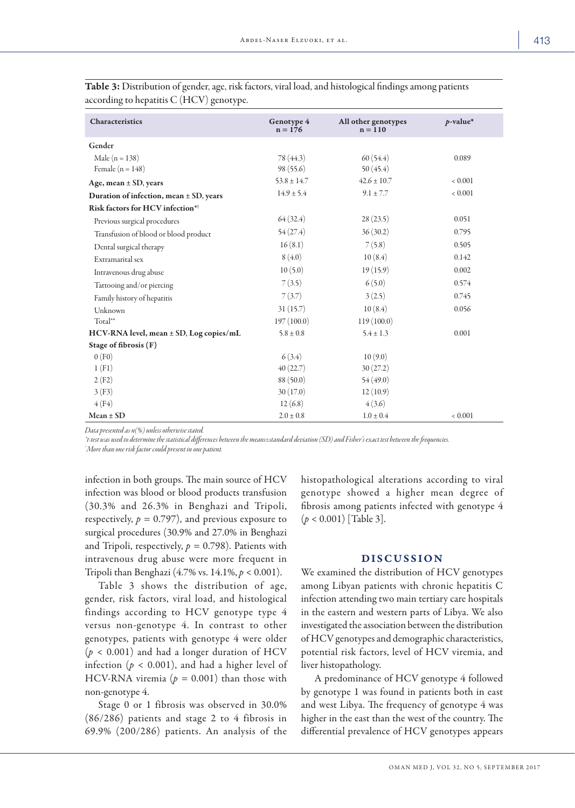| Characteristics                                | Genotype 4<br>$n = 176$ | All other genotypes<br>$n = 110$ | $p$ -value* |
|------------------------------------------------|-------------------------|----------------------------------|-------------|
| Gender                                         |                         |                                  |             |
| Male ( $n = 138$ )                             | 78 (44.3)               | 60(54.4)                         | 0.089       |
| Female $(n = 148)$                             | 98(55.6)                | 50(45.4)                         |             |
| Age, mean ± SD, years                          | $53.8 \pm 14.7$         | $42.6 \pm 10.7$                  | 0.001       |
| Duration of infection, mean $\pm$ SD, years    | $14.9 \pm 5.4$          | $9.1 \pm 7.7$                    | ${}< 0.001$ |
| Risk factors for HCV infection* <sup>†</sup>   |                         |                                  |             |
| Previous surgical procedures                   | 64(32.4)                | 28(23.5)                         | 0.051       |
| Transfusion of blood or blood product          | 54(27.4)                | 36(30.2)                         | 0.795       |
| Dental surgical therapy                        | 16(8.1)                 | 7(5.8)                           | 0.505       |
| Extramarital sex                               | 8(4.0)                  | 10(8.4)                          | 0.142       |
| Intravenous drug abuse                         | 10(5.0)                 | 19(15.9)                         | 0.002       |
| Tattooing and/or piercing                      | 7(3.5)                  | 6(5.0)                           | 0.574       |
| Family history of hepatitis                    | 7(3.7)                  | 3(2.5)                           | 0.745       |
| Unknown                                        | 31(15.7)                | 10(8.4)                          | 0.056       |
| Total**                                        | 197(100.0)              | 119(100.0)                       |             |
| $HCV$ -RNA level, mean $\pm$ SD, Log copies/mL | $5.8 \pm 0.8$           | $5.4 \pm 1.3$                    | 0.001       |
| Stage of fibrosis (F)                          |                         |                                  |             |
| 0(F0)                                          | 6(3.4)                  | 10(9.0)                          |             |
| 1(F1)                                          | 40(22.7)                | 30(27.2)                         |             |
| 2(F2)                                          | 88(50.0)                | 54(49.0)                         |             |
| 3(F3)                                          | 30(17.0)                | 12(10.9)                         |             |
| 4(F4)                                          | 12(6.8)                 | 4(3.6)                           |             |
| $Mean \pm SD$                                  | $2.0 \pm 0.8$           | $1.0 \pm 0.4$                    | 0.001       |

Table 3: Distribution of gender, age, risk factors, viral load, and histological findings among patients according to hepatitis C (HCV) genotype.

*Data presented as n(%) unless otherwise stated.*

*\*t-test was used to determine the statistical differences between the means±standard deviation (SD) and Fisher's exact test between the frequencies.*

*† More than one risk factor could present in one patient.*

infection in both groups. The main source of HCV infection was blood or blood products transfusion (30.3% and 26.3% in Benghazi and Tripoli, respectively,  $p = 0.797$ ), and previous exposure to surgical procedures (30.9% and 27.0% in Benghazi and Tripoli, respectively, *p =* 0.798). Patients with intravenous drug abuse were more frequent in Tripoli than Benghazi (4.7% vs. 14.1%, *p* < 0.001).

Table 3 shows the distribution of age, gender, risk factors, viral load, and histological findings according to HCV genotype type 4 versus non-genotype 4. In contrast to other genotypes, patients with genotype 4 were older  $(p < 0.001)$  and had a longer duration of HCV infection ( $p < 0.001$ ), and had a higher level of HCV-RNA viremia ( $p = 0.001$ ) than those with non-genotype 4.

Stage 0 or 1 fibrosis was observed in 30.0% (86/286) patients and stage 2 to 4 fibrosis in 69.9% (200/286) patients. An analysis of the histopathological alterations according to viral genotype showed a higher mean degree of fibrosis among patients infected with genotype 4 (*p* < 0.001) [Table 3].

# DISCUSSION

We examined the distribution of HCV genotypes among Libyan patients with chronic hepatitis C infection attending two main tertiary care hospitals in the eastern and western parts of Libya. We also investigated the association between the distribution of HCV genotypes and demographic characteristics, potential risk factors, level of HCV viremia, and liver histopathology.

A predominance of HCV genotype 4 followed by genotype 1 was found in patients both in east and west Libya. The frequency of genotype 4 was higher in the east than the west of the country. The differential prevalence of HCV genotypes appears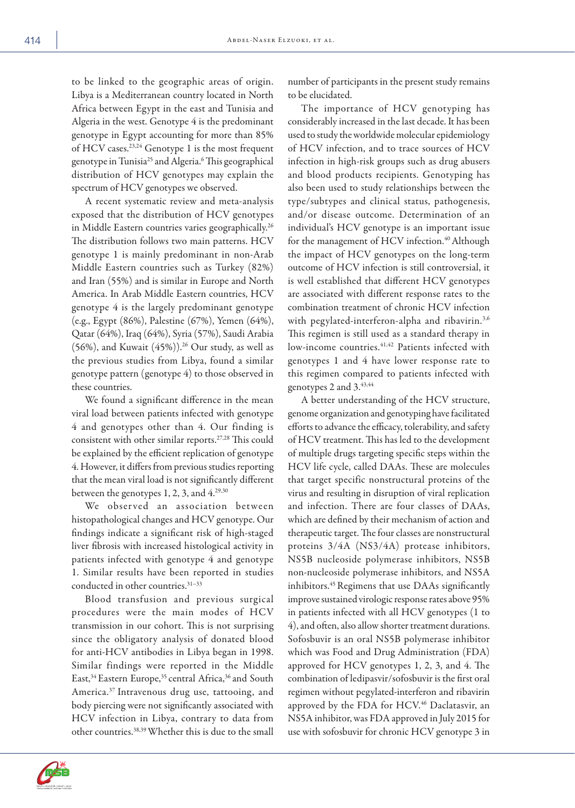to be linked to the geographic areas of origin. Libya is a Mediterranean country located in North Africa between Egypt in the east and Tunisia and Algeria in the west. Genotype 4 is the predominant genotype in Egypt accounting for more than 85% of HCV cases.<sup>23,24</sup> Genotype 1 is the most frequent genotype in Tunisia<sup>25</sup> and Algeria.<sup>6</sup> This geographical distribution of HCV genotypes may explain the spectrum of HCV genotypes we observed.

A recent systematic review and meta-analysis exposed that the distribution of HCV genotypes in Middle Eastern countries varies geographically.<sup>26</sup> The distribution follows two main patterns. HCV genotype 1 is mainly predominant in non-Arab Middle Eastern countries such as Turkey (82%) and Iran (55%) and is similar in Europe and North America. In Arab Middle Eastern countries, HCV genotype 4 is the largely predominant genotype (e.g., Egypt (86%), Palestine (67%), Yemen (64%), Qatar (64%), Iraq (64%), Syria (57%), Saudi Arabia (56%), and Kuwait  $(45%)$ ).<sup>26</sup> Our study, as well as the previous studies from Libya, found a similar genotype pattern (genotype 4) to those observed in these countries.

We found a significant difference in the mean viral load between patients infected with genotype 4 and genotypes other than 4. Our finding is consistent with other similar reports.27,28 This could be explained by the efficient replication of genotype 4. However, it differs from previous studies reporting that the mean viral load is not significantly different between the genotypes 1, 2, 3, and 4.<sup>29,30</sup>

We obser ved an association between histopathological changes and HCV genotype. Our findings indicate a significant risk of high-staged liver fibrosis with increased histological activity in patients infected with genotype 4 and genotype 1. Similar results have been reported in studies conducted in other countries.<sup>31-33</sup>

Blood transfusion and previous surgical procedures were the main modes of HCV transmission in our cohort. This is not surprising since the obligatory analysis of donated blood for anti-HCV antibodies in Libya began in 1998. Similar findings were reported in the Middle East,<sup>34</sup> Eastern Europe,<sup>35</sup> central Africa,<sup>36</sup> and South America.37 Intravenous drug use, tattooing, and body piercing were not significantly associated with HCV infection in Libya, contrary to data from other countries.38,39 Whether this is due to the small number of participants in the present study remains to be elucidated.

The importance of HCV genotyping has considerably increased in the last decade. It has been used to study the worldwide molecular epidemiology of HCV infection, and to trace sources of HCV infection in high-risk groups such as drug abusers and blood products recipients. Genotyping has also been used to study relationships between the type/subtypes and clinical status, pathogenesis, and/or disease outcome. Determination of an individual's HCV genotype is an important issue for the management of HCV infection.<sup>40</sup> Although the impact of HCV genotypes on the long-term outcome of HCV infection is still controversial, it is well established that different HCV genotypes are associated with different response rates to the combination treatment of chronic HCV infection with pegylated-interferon-alpha and ribavirin.<sup>3,6</sup> This regimen is still used as a standard therapy in low-income countries.<sup>41,42</sup> Patients infected with genotypes 1 and 4 have lower response rate to this regimen compared to patients infected with genotypes 2 and 3.43,44

A better understanding of the HCV structure, genome organization and genotyping have facilitated efforts to advance the efficacy, tolerability, and safety of HCV treatment. This has led to the development of multiple drugs targeting specific steps within the HCV life cycle, called DAAs. These are molecules that target specific nonstructural proteins of the virus and resulting in disruption of viral replication and infection. There are four classes of DAAs, which are defined by their mechanism of action and therapeutic target. The four classes are nonstructural proteins 3/4A (NS3/4A) protease inhibitors, NS5B nucleoside polymerase inhibitors, NS5B non-nucleoside polymerase inhibitors, and NS5A inhibitors.45 Regimens that use DAAs significantly improve sustained virologic response rates above 95% in patients infected with all HCV genotypes (1 to 4), and often, also allow shorter treatment durations. Sofosbuvir is an oral NS5B polymerase inhibitor which was Food and Drug Administration (FDA) approved for HCV genotypes 1, 2, 3, and 4. The combination of ledipasvir/sofosbuvir is the first oral regimen without pegylated-interferon and ribavirin approved by the FDA for HCV.<sup>46</sup> Daclatasvir, an NS5A inhibitor, was FDA approved in July 2015 for use with sofosbuvir for chronic HCV genotype 3 in

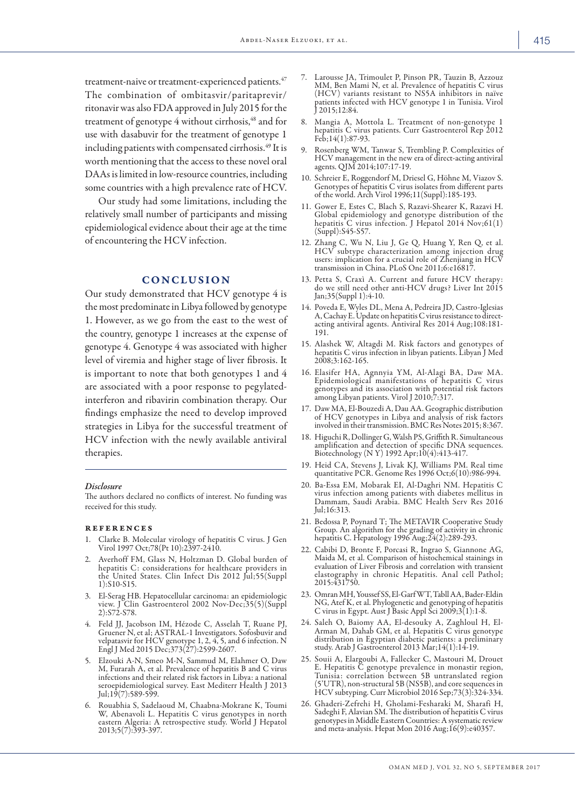treatment-naive or treatment-experienced patients.<sup>47</sup> The combination of ombitasvir/paritaprevir/ ritonavir was also FDA approved in July 2015 for the treatment of genotype 4 without cirrhosis,<sup>48</sup> and for use with dasabuvir for the treatment of genotype 1 including patients with compensated cirrhosis.49 It is worth mentioning that the access to these novel oral DAAs is limited in low-resource countries, including some countries with a high prevalence rate of HCV.

Our study had some limitations, including the relatively small number of participants and missing epidemiological evidence about their age at the time of encountering the HCV infection.

# **CONCLUSION**

Our study demonstrated that HCV genotype 4 is the most predominate in Libya followed by genotype 1. However, as we go from the east to the west of the country, genotype 1 increases at the expense of genotype 4. Genotype 4 was associated with higher level of viremia and higher stage of liver fibrosis. It is important to note that both genotypes 1 and 4 are associated with a poor response to pegylatedinterferon and ribavirin combination therapy. Our findings emphasize the need to develop improved strategies in Libya for the successful treatment of HCV infection with the newly available antiviral therapies.

#### *Disclosure*

The authors declared no conflicts of interest. No funding was received for this study.

#### references

- 1. Clarke B. Molecular virology of hepatitis C virus. J Gen Virol 1997 Oct;78(Pt 10):2397-2410.
- Averhoff FM, Glass N, Holtzman D. Global burden of hepatitis C: considerations for healthcare providers in the United States. Clin Infect Dis 2012 Jul;55(Suppl 1):S10-S15.
- 3. El-Serag HB. Hepatocellular carcinoma: an epidemiologic view. J Clin Gastroenterol 2002 Nov-Dec;35(5)(Suppl 2):S72-S78.
- 4. Feld JJ, Jacobson IM, Hézode C, Asselah T, Ruane PJ, Gruener N, et al; ASTRAL-1 Investigators. Sofosbuvir and velpatasvir for HCV genotype 1, 2, 4, 5, and 6 infection. N Engl J Med 2015 Dec;373(27):2599-2607.
- 5. Elzouki A-N, Smeo M-N, Sammud M, Elahmer O, Daw M, Furarah A, et al. Prevalence of hepatitis B and C virus infections and their related risk factors in Libya: a national seroepidemiological survey. East Mediterr Health J 2013 Jul;19(7):589-599.
- 6. Rouabhia S, Sadelaoud M, Chaabna-Mokrane K, Toumi W, Abenavoli L. Hepatitis C virus genotypes in north eastern Algeria: A retrospective study. World J Hepatol 2013;5(7):393-397.
- 7. Larousse JA, Trimoulet P, Pinson PR, Tauzin B, Azzouz MM, Ben Mami N, et al. Prevalence of hepatitis C virus (HCV) variants resistant to NS5A inhibitors in naïve patients infected with HCV genotype 1 in Tunisia. Virol J 2015;12:84.
- 8. Mangia A, Mottola L. Treatment of non-genotype 1 hepatitis C virus patients. Curr Gastroenterol Rep 2012 Feb;14(1):87-93.
- 9. Rosenberg WM, Tanwar S, Trembling P. Complexities of HCV management in the new era of direct-acting antiviral agents. QJM 2014;107:17-19.
- 10. Schreier E, Roggendorf M, Driesel G, Höhne M, Viazov S. Genotypes of hepatitis C virus isolates from different parts of the world. Arch Virol 1996;11(Suppl):185-193.
- 11. Gower E, Estes C, Blach S, Razavi-Shearer K, Razavi H. Global epidemiology and genotype distribution of the hepatitis C virus infection. J Hepatol 2014 Nov;61(1) (Suppl):S45-S57.
- 12. Zhang C, Wu N, Liu J, Ge Q, Huang Y, Ren Q, et al. HCV subtype characterization among injection drug users: implication for a crucial role of Zhenjiang in HCV transmission in China. PLoS One 2011;6:e16817.
- 13. Petta S, Craxì A. Current and future HCV therapy: do we still need other anti-HCV drugs? Liver Int 2015 Jan;35(Suppl 1):4-10.
- 14. Poveda E, Wyles DL, Mena A, Pedreira JD, Castro-Iglesias A, Cachay E. Update on hepatitis C virus resistance to directacting antiviral agents. Antiviral Res 2014 Aug;108:181- 191.
- 15. Alashek W, Altagdi M. Risk factors and genotypes of hepatitis C virus infection in libyan patients. Libyan J Med 2008;3:162-165.
- 16. Elasifer HA, Agnnyia YM, Al-Alagi BA, Daw MA. Epidemiological manifestations of hepatitis C virus genotypes and its association with potential risk factors among Libyan patients. Virol J 2010;7:317.
- 17. Daw MA, El-Bouzedi A, Dau AA. Geographic distribution of HCV genotypes in Libya and analysis of risk factors involved in their transmission. BMC Res Notes 2015; 8:367.
- 18. Higuchi R, Dollinger G, Walsh PS, Griffith R. Simultaneous amplification and detection of specific DNA sequences. Biotechnology (N Y) 1992 Apr;10(4):413-417.
- 19. Heid CA, Stevens J, Livak KJ, Williams PM. Real time quantitative PCR. Genome Res 1996 Oct;6(10):986-994.
- 20. Ba-Essa EM, Mobarak EI, Al-Daghri NM. Hepatitis C virus infection among patients with diabetes mellitus in Dammam, Saudi Arabia. BMC Health Serv Res 2016 Jul;16:313.
- 21. Bedossa P, Poynard T; The METAVIR Cooperative Study Group. An algorithm for the grading of activity in chronic hepatitis C. Hepatology 1996 Aug;24(2):289-293.
- 22. Cabibi D, Bronte F, Porcasi R, Ingrao S, Giannone AG, Maida M, et al. Comparison of histochemical stainings in evaluation of Liver Fibrosis and correlation with transient elastography in chronic Hepatitis. Anal cell Pathol; 2015:431750.
- 23. Omran MH, Youssef SS, El-Garf WT, Tabll AA, Bader-Eldin NG, Atef K, et al. Phylogenetic and genotyping of hepatitis C virus in Egypt. Aust J Basic Appl Sci 2009;3(1):1-8.
- 24. Saleh O, Baiomy AA, El-desouky A, Zaghloul H, El-Arman M, Dahab GM, et al. Hepatitis C virus genotype distribution in Egyptian diabetic patients: a preliminary study. Arab J Gastroenterol 2013 Mar;14(1):14-19.
- 25. Souii A, Elargoubi A, Fallecker C, Mastouri M, Drouet E. Hepatitis C genotype prevalence in monastir region, Tunisia: correlation between 5B untranslated region (5'UTR), non-structural 5B (NS5B), and core sequences in HCV subtyping. Curr Microbiol 2016 Sep;73(3):324-334.
- 26. Ghaderi-Zefrehi H, Gholami-Fesharaki M, Sharafi H, Sadeghi F, Alavian SM. The distribution of hepatitis C virus genotypes in Middle Eastern Countries: A systematic review and meta-analysis. Hepat Mon 2016 Aug;16(9):e40357.